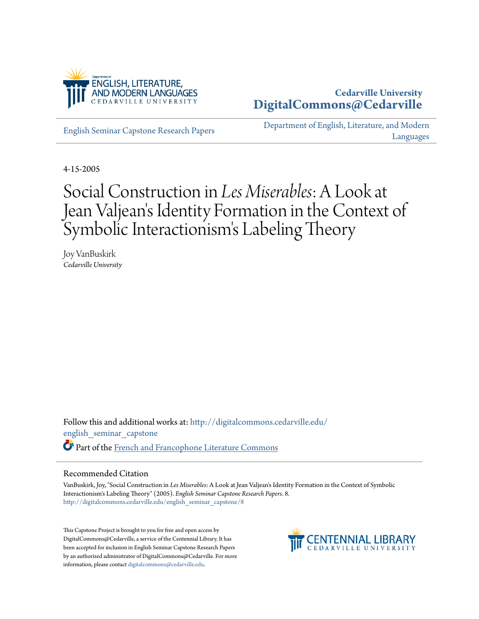

## **Cedarville University [DigitalCommons@Cedarville](http://digitalcommons.cedarville.edu?utm_source=digitalcommons.cedarville.edu%2Fenglish_seminar_capstone%2F8&utm_medium=PDF&utm_campaign=PDFCoverPages)**

[English Seminar Capstone Research Papers](http://digitalcommons.cedarville.edu/english_seminar_capstone?utm_source=digitalcommons.cedarville.edu%2Fenglish_seminar_capstone%2F8&utm_medium=PDF&utm_campaign=PDFCoverPages)

[Department of English, Literature, and Modern](http://digitalcommons.cedarville.edu/english_literature_modern_languages?utm_source=digitalcommons.cedarville.edu%2Fenglish_seminar_capstone%2F8&utm_medium=PDF&utm_campaign=PDFCoverPages) [Languages](http://digitalcommons.cedarville.edu/english_literature_modern_languages?utm_source=digitalcommons.cedarville.edu%2Fenglish_seminar_capstone%2F8&utm_medium=PDF&utm_campaign=PDFCoverPages)

4-15-2005

## Social Construction in *Les Miserables*: A Look at Jean Valjean 's Identity Formation in the Context of Symbolic Interactionism 's Labeling Theory

Joy VanBuskirk *Cedarville University*

Follow this and additional works at: [http://digitalcommons.cedarville.edu/](http://digitalcommons.cedarville.edu/english_seminar_capstone?utm_source=digitalcommons.cedarville.edu%2Fenglish_seminar_capstone%2F8&utm_medium=PDF&utm_campaign=PDFCoverPages) [english\\_seminar\\_capstone](http://digitalcommons.cedarville.edu/english_seminar_capstone?utm_source=digitalcommons.cedarville.edu%2Fenglish_seminar_capstone%2F8&utm_medium=PDF&utm_campaign=PDFCoverPages) Part of the [French and Francophone Literature Commons](http://network.bepress.com/hgg/discipline/465?utm_source=digitalcommons.cedarville.edu%2Fenglish_seminar_capstone%2F8&utm_medium=PDF&utm_campaign=PDFCoverPages)

## Recommended Citation

VanBuskirk, Joy, "Social Construction in *Les Miserables*: A Look at Jean Valjean's Identity Formation in the Context of Symbolic Interactionism's Labeling Theory" (2005). *English Seminar Capstone Research Papers*. 8. [http://digitalcommons.cedarville.edu/english\\_seminar\\_capstone/8](http://digitalcommons.cedarville.edu/english_seminar_capstone/8?utm_source=digitalcommons.cedarville.edu%2Fenglish_seminar_capstone%2F8&utm_medium=PDF&utm_campaign=PDFCoverPages)

This Capstone Project is brought to you for free and open access by DigitalCommons@Cedarville, a service of the Centennial Library. It has been accepted for inclusion in English Seminar Capstone Research Papers by an authorized administrator of DigitalCommons@Cedarville. For more information, please contact [digitalcommons@cedarville.edu.](mailto:digitalcommons@cedarville.edu)

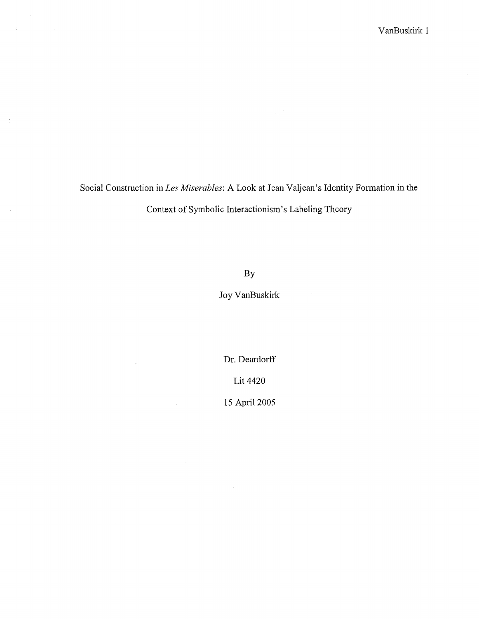Social Construction inLes *Miserables:* A Look at Jean Valjean's Identity Formation in the Context of Symbolic Interactionism's Labeling Theory

 $\label{eq:2.1} \mathcal{L}=\mathcal{L}(\mathcal{L}^{\text{max}}_{\text{max}}(\mathcal{L}^{\text{max}}_{\text{max}}(\mathcal{L}^{\text{max}}_{\text{max}}))$ 

 $\mathbb{C}$ 

 $\mathcal{A}$ 

By

Joy VanBuskirk

Dr. Deardorff Lit 4420

15 April 2005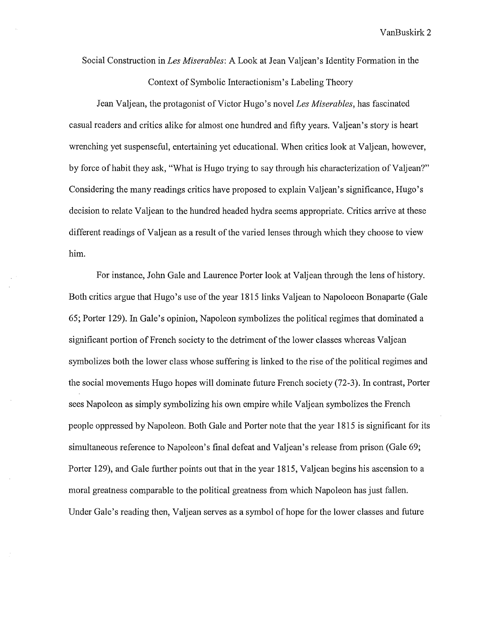Social Construction in *Les Miserables:* A Look at Jean Valjean' s Identity Formation in the Context of Symbolic Interactionism's Labeling Theory

Jean Valjean, the protagonist of Victor Hugo's novel *Les Miserables*, has fascinated casual readers and critics alike for almost one hundred and fifty years. Valjean's story is heart wrenching yet suspenseful, entertaining yet educational. When critics look at Valjean, however, by force of habit they ask, "What is Hugo trying to say through his characterization of Valjean?" Considering the many readings critics have proposed to explain Valjean's significance, Hugo's decision to relate Valjean to the hundred headed hydra seems appropriate. Critics arrive at these different readings of Valjean as a result of the varied lenses through which they choose to view him.

For instance, John Gale and Laurence Porter look at Valjean through the lens of history. Both critics argue that Hugo's use of the year 1815 links Valjean to Napoloeon Bonaparte (Gale 65; Porter 129). In Gale's opinion, Napoleon symbolizes the political regimes that dominated a significant portion of French society to the detriment of the lower classes whereas Valjean symbolizes both the lower class whose suffering is linked to the rise of the political regimes and the social movements Hugo hopes will dominate future French society (72-3). In contrast, Porter sees Napoleon as simply symbolizing his own empire while Valjean symbolizes the French people oppressed by Napoleon. Both Gale and Porter note that the year 1815 is significant for its simultaneous reference to Napoleon's final defeat and Valjean's release from prison (Gale 69; Porter 129), and Gale further points out that in the year 1815, Valjean begins his ascension to a moral greatness comparable to the political greatness from which Napoleon has just fallen. Under Gale's reading then, Valjean serves as a symbol of hope for the lower classes and future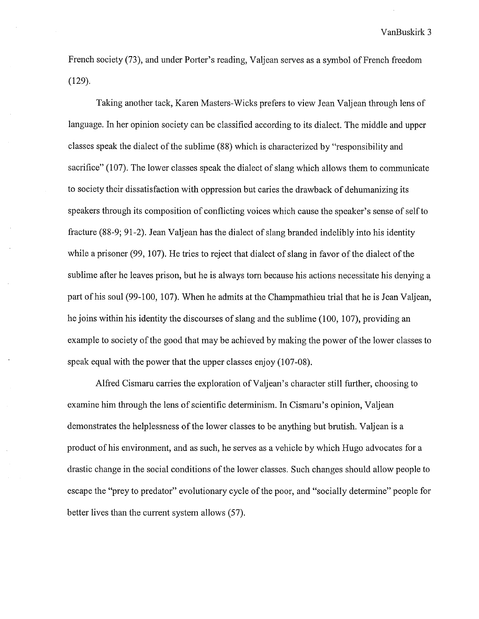French society (73), and under Porter's reading, Valjean serves as a symbol of French freedom (129).

Taking another tack, Karen Masters-Wicks prefers to view Jean Valjean through lens of language. In her opinion society can be classified according to its dialect. The middle and upper classes speak the dialect of the sublime (88) which is characterized by "responsibility and sacrifice" (107). The lower classes speak the dialect of slang which allows them to communicate to society their dissatisfaction with oppression but caries the drawback of dehumanizing its speakers through its composition of conflicting voices which cause the speaker's sense of self to fracture (88-9; 91-2). Jean Valjean has the dialect of slang branded indelibly into his identity while a prisoner (99, 107). He tries to reject that dialect of slang in favor of the dialect of the sublime after he leaves prison, but he is always tom because his actions necessitate his denying a part of his soul (99-100, 107). When he admits at the Champmathieu trial that he is Jean Valjean, he joins within his identity the discourses of slang and the sublime (100, 107), providing an example to society of the good that may be achieved by making the power of the lower classes to speak equal with the power that the upper classes enjoy (107-08).

Alfred Cismaru carries the exploration of Valjean's character still further, choosing to examine him through the lens of scientific determinism. In Cismaru's opinion, Valjean demonstrates the helplessness of the lower classes to be anything but brutish. Valjean is a product of his environment, and as such, he serves as a vehicle by which Hugo advocates for a drastic change in the social conditions of the lower classes. Such changes should allow people to escape the "prey to predator" evolutionary cycle of the poor, and "socially determine" people for better lives than the current system allows (57).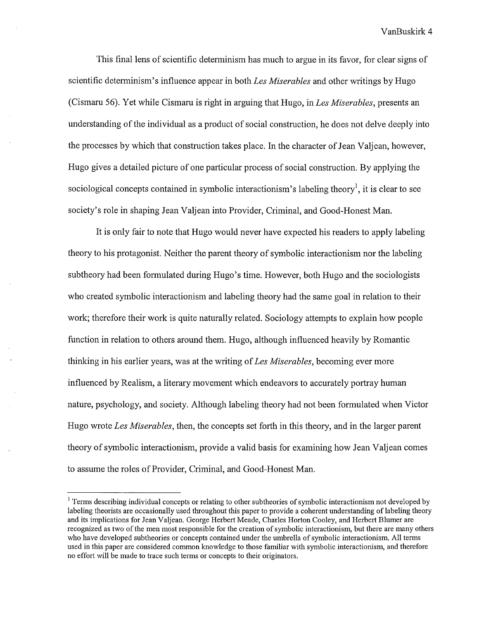This final lens of scientific determinism has much to argue in its favor, for clear signs of scientific determinism's influence appear in both *Les Miserables* and other writings by Hugo (Cismaru 56). Yet while Cismaru is right in arguing that Hugo, in *Les Miserables,* presents an understanding of the individual as a product of social construction, he does not delve deeply into the processes by which that construction takes place. In the character of Jean Valjean, however, Hugo gives a detailed picture of one particular process of social construction. By applying the sociological concepts contained in symbolic interactionism's labeling theory<sup>1</sup>, it is clear to see society's role in shaping Jean Valjean into Provider, Criminal, and Good-Honest Man.

It is only fair to note that Hugo would never have expected his readers to apply labeling theory to his protagonist. Neither the parent theory of symbolic interactionism nor the labeling subtheory had been formulated during Hugo's time. However, both Hugo and the sociologists who created symbolic interactionism and labeling theory had the same goal in relation to their work; therefore their work is quite naturally related. Sociology attempts to explain how people function in relation to others around them. Hugo, although influenced heavily by Romantic thinking in his earlier years, was at the writing of *Les Miserables,* becoming ever more influenced by Realism, a literary movement which endeavors to accurately portray human nature, psychology, and society. Although labeling theory had not been formulated when Victor Hugo wrote *Les Miserables,* then, the concepts set forth in this theory, and in the larger parent theory of symbolic interactionism, provide a valid basis for examining how Jean Valjean comes to assume the roles of Provider, Criminal, and Good-Honest Man.

<sup>&</sup>lt;sup>1</sup> Terms describing individual concepts or relating to other subtheories of symbolic interactionism not developed by labeling theorists are occasionally used throughout this paper to provide a coherent understanding of labeling theory and its implications for Jean Valjean. George Herbert Meade, Charles Horton Cooley, and Herbert Blumer are recognized as two of the men most responsible for the creation of symbolic interactionism, but there are many others who have developed subtheories or concepts contained under the umbrella of symbolic interactionism. All terms used in this paper are considered common knowledge to those familiar with symbolic interactionism, and therefore no effort will be made to trace such terms or concepts to their originators.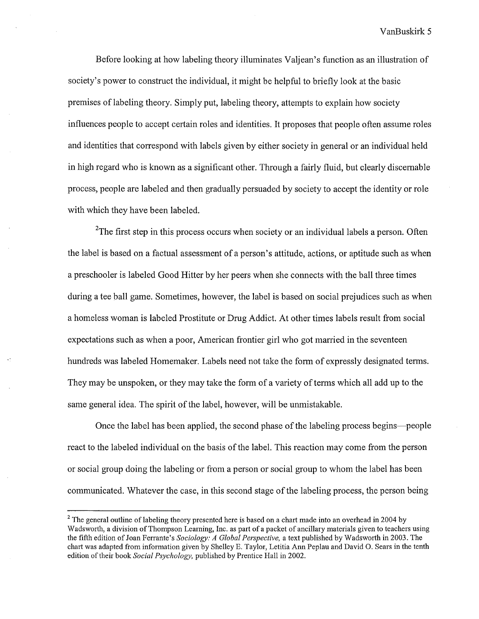Before looking at how labeling theory illuminates Valjean's function as an illustration of society's power to construct the individual, it might be helpful to briefly look at the basic premises of labeling theory. Simply put, labeling theory, attempts to explain how society influences people to accept certain roles and identities. It proposes that people often assume roles and identities that correspond with labels given by either society in general or an individual held in high regard who is known as a significant other. Through a fairly fluid, but clearly discemable process, people are labeled and then gradually persuaded by society to accept the identity or role with which they have been labeled.

<sup>2</sup>The first step in this process occurs when society or an individual labels a person. Often the label is based on a factual assessment of a person's attitude, actions, or aptitude such as when a preschooler is labeled Good Hitter by her peers when she connects with the ball three times during a tee ball game. Sometimes, however, the label is based on social prejudices such as when a homeless woman is labeled Prostitute or Drug Addict. At other times labels result from social expectations such as when a poor, American frontier girl who got married in the seventeen hundreds was labeled Homemaker. Labels need not take the form of expressly designated terms. They may be unspoken, or they may take the form of a variety of terms which all add up to the same general idea. The spirit of the label, however, will be unmistakable.

Once the label has been applied, the second phase of the labeling process begins-people react to the labeled individual on the basis of the label. This reaction may come from the person or social group doing the labeling or from a person or social group to whom the label has been communicated. Whatever the case, in this second stage of the labeling process, the person being

 $2$  The general outline of labeling theory presented here is based on a chart made into an overhead in 2004 by Wads worth, a division of Thompson Learning, Inc. as part of a packet of ancillary materials given to teachers using the fifth edition of Joan Ferrante's *Sociology: A Global Perspective,* a text published by Wadsworth in 2003. The chart was adapted from information given by Shelley E. Taylor, Letitia Ann Peplau and David 0. Sears in the tenth edition of their book *Social Psychology,* published by Prentice Hall in 2002.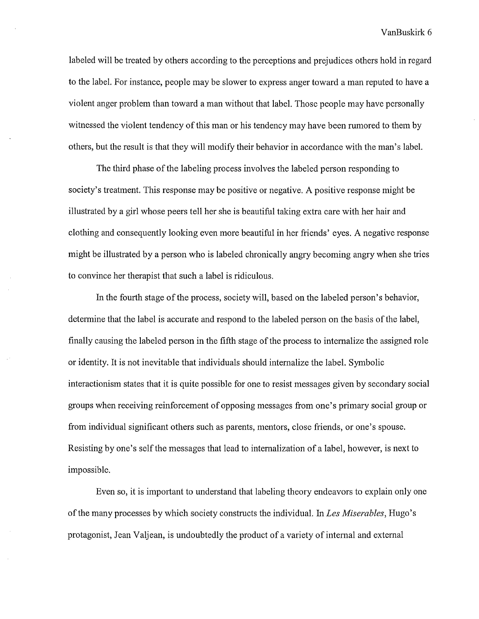labeled will be treated by others according to the perceptions and prejudices others hold in regard to the label. For instance, people may be slower to express anger toward a man reputed to have a violent anger problem than toward a man without that label. Those people may have personally witnessed the violent tendency of this man or his tendency may have been rumored to them by others, but the result is that they will modify their behavior in accordance with the man's label.

The third phase of the labeling process involves the labeled person responding to society's treatment. This response may be positive or negative. A positive response might be illustrated by a girl whose peers tell her she is beautiful taking extra care with her hair and clothing and consequently looking even more beautiful in her friends' eyes. A negative response might be illustrated by a person who is labeled chronically angry becoming angry when she tries to convince her therapist that such a label is ridiculous.

In the fourth stage of the process, society will, based on the labeled person's behavior, determine that the label is accurate and respond to the labeled person on the basis of the label, finally causing the labeled person in the fifth stage of the process to internalize the assigned role or identity. It is not inevitable that individuals should internalize the label. Symbolic interactionism states that it is quite possible for one to resist messages given by secondary social groups when receiving reinforcement of opposing messages from one's primary social group or from individual significant others such as parents, mentors, close friends, or one's spouse. Resisting by one's self the messages that lead to internalization of a label, however, is next to impossible.

Even so, it is important to understand that labeling theory endeavors to explain only one of the many processes by which society constructs the individual. In *Les Miserables,* Hugo's protagonist, Jean Valjean, is undoubtedly the product of a variety of internal and external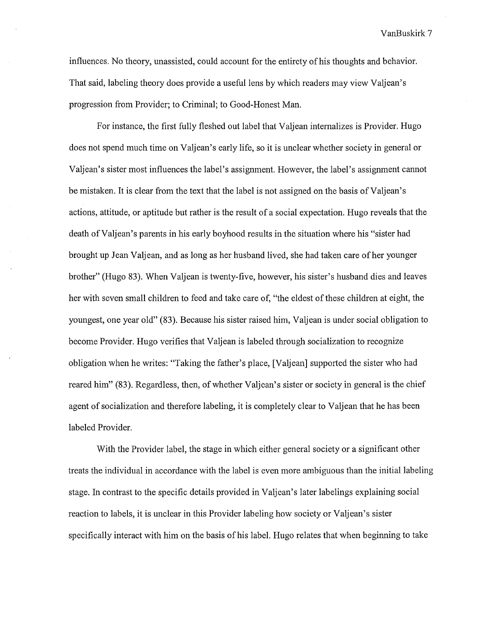influences. No theory, unassisted, could account for the entirety of his thoughts and behavior. That said, labeling theory does provide a useful lens by which readers may view Valjean's progression from Provider; to Criminal; to Good-Honest Man.

For instance, the first fully fleshed out label that Valjean internalizes is Provider. Hugo does not spend much time on Valjean's early life, so it is unclear whether society in general or Valjean's sister most influences the label's assignment. However, the label's assignment cannot be mistaken. It is clear from the text that the label is not assigned on the basis of Valjean's actions, attitude, or aptitude but rather is the result of a social expectation. Hugo reveals that the death of Valjean's parents in his early boyhood results in the situation where his "sister had brought up Jean Valjean, and as long as her husband lived, she had taken care of her younger brother" (Hugo 83). When Valjean is twenty-five, however, his sister's husband dies and leaves her with seven small children to feed and take care of, "the eldest of these children at eight, the youngest, one year old" (83). Because his sister raised him, Valjean is under social obligation to become Provider. Hugo verifies that Valjean is labeled through socialization to recognize obligation when he writes: "Taking the father's place, [Valjean] supported the sister who had reared him" (83). Regardless, then, of whether Valjean's sister or society in general is the chief agent of socialization and therefore labeling, it is completely clear to Valjean that he has been labeled Provider.

With the Provider label, the stage in which either general society or a significant other treats the individual in accordance with the label is even more ambiguous than the initial labeling stage. In contrast to the specific details provided in Valjean's later labelings explaining social reaction to labels, it is unclear in this Provider labeling how society or Valjean's sister specifically interact with him on the basis of his label. Hugo relates that when beginning to take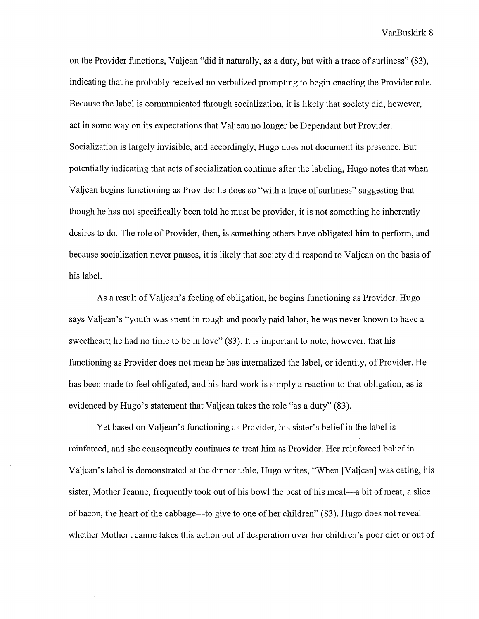on the Provider functions, Valjean "did it naturally, as a duty, but with a trace of surliness" (83), indicating that he probably received no verbalized prompting to begin enacting the Provider role. Because the label is communicated through socialization, it is likely that society did, however, act in some way on its expectations that Valjean no longer be Dependant but Provider. Socialization is largely invisible, and accordingly, Hugo does not document its presence. But potentially indicating that acts of socialization continue after the labeling, Hugo notes that when Valjean begins functioning as Provider he does so "with a trace of surliness" suggesting that though he has not specifically been told he must be provider, it is not something he inherently desires to do. The role of Provider, then, is something others have obligated him to perform, and because socialization never pauses, it is likely that society did respond to Valjean on the basis of his label.

As a result ofValjean's feeling of obligation, he begins functioning as Provider. Hugo says Valjean's "youth was spent in rough and poorly paid labor, he was never known to have a sweetheart; he had no time to be in love" (83). It is important to note, however, that his functioning as Provider does not mean he has internalized the label, or identity, of Provider. He has been made to feel obligated, and his hard work is simply a reaction to that obligation, as is evidenced by Hugo's statement that Valjean takes the role "as a duty" (83).

Yet based on Valjean's functioning as Provider, his sister's belief in the label is reinforced, and she consequently continues to treat him as Provider. Her reinforced belief in Valjean's label is demonstrated at the dinner table. Hugo writes, "When [Valjean] was eating, his sister, Mother Jeanne, frequently took out of his bowl the best of his meal-a bit of meat, a slice of bacon, the heart of the cabbage—to give to one of her children" (83). Hugo does not reveal whether Mother Jeanne takes this action out of desperation over her children's poor diet or out of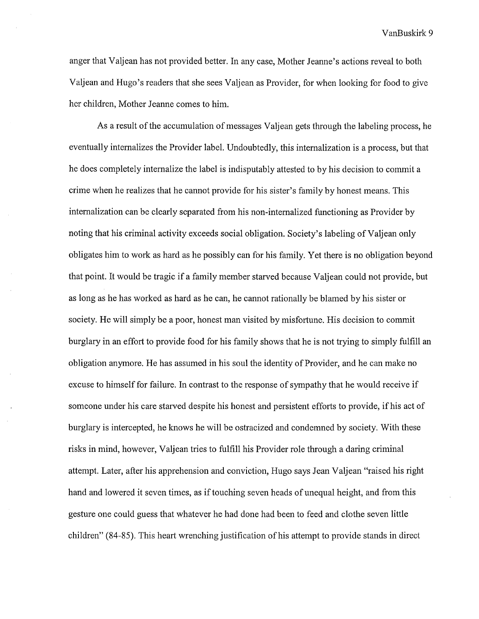anger that Valjean has not provided better. In any case, Mother Jeanne's actions reveal to both Valjean and Hugo's readers that she sees Valjean as Provider, for when looking for food to give her children, Mother Jeanne comes to him.

As a result of the accumulation of messages Valjean gets through the labeling process, he eventually internalizes the Provider label. Undoubtedly, this internalization is a process, but that he does completely internalize the label is indisputably attested to by his decision to commit a crime when he realizes that he cannot provide for his sister's family by honest means. This internalization can be clearly separated from his non-internalized functioning as Provider by noting that his criminal activity exceeds social obligation. Society's labeling of Valjean only obligates him to work as hard as he possibly can for his family. Yet there is no obligation beyond that point. It would be tragic if a family member starved because Valjean could not provide, but as long as he has worked as hard as he can, he cannot rationally be blamed by his sister or society. He will simply be a poor, honest man visited by misfortune. His decision to commit burglary in an effort to provide food for his family shows that he is not trying to simply fulfill an obligation anymore. He has assumed in his soul the identity of Provider, and he can make no excuse to himself for failure. In contrast to the response of sympathy that he would receive if someone under his care starved despite his honest and persistent efforts to provide, if his act of burglary is intercepted, he knows he will be ostracized and condemned by society. With these risks in mind, however, Valjean tries to fulfill his Provider role through a daring criminal attempt. Later, after his apprehension and conviction, Hugo says Jean Valjean "raised his right hand and lowered it seven times, as if touching seven heads of unequal height, and from this gesture one could guess that whatever he had done had been to feed and clothe seven little children" (84-85). This heart wrenching justification of his attempt to provide stands in direct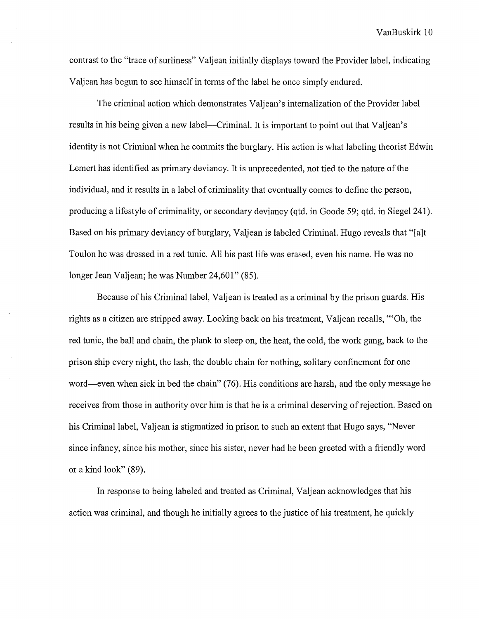contrast to the "trace of surliness" Valjean initially displays toward the Provider label, indicating Valjean has begun to see himself in terms of the label he once simply endured.

The criminal action which demonstrates Valjean's internalization of the Provider label results in his being given a new label—Criminal. It is important to point out that Valjean's identity is not Criminal when he commits the burglary. His action is what labeling theorist Edwin Lemert has identified as primary deviancy. It is unprecedented, not tied to the nature of the individual, and it results in a label of criminality that eventually comes to define the person, producing a lifestyle of criminality, or secondary deviancy (qtd. in Goode 59; qtd. in Siegel 241). Based on his primary deviancy of burglary, Valjean is labeled Criminal. Hugo reveals that "[a]t Toulon he was dressed in a red tunic. All his past life was erased, even his name. He was no longer Jean Valjean; he was Number 24,601" (85).

Because of his Criminal label, Valjean is treated as a criminal by the prison guards. His rights as a citizen are stripped away. Looking back on his treatment, Valjean recalls, "'Oh, the red tunic, the ball and chain, the plank to sleep on, the heat, the cold, the work gang, back to the prison ship every night, the lash, the double chain for nothing, solitary confinement for one word-even when sick in bed the chain" (76). His conditions are harsh, and the only message he receives from those in authority over him is that he is a criminal deserving of rejection. Based on his Criminal label, Valjean is stigmatized in prison to such an extent that Hugo says, "Never since infancy, since his mother, since his sister, never had he been greeted with a friendly word or a kind look" (89).

In response to being labeled and treated as Criminal, Valjean acknowledges that his action was criminal, and though he initially agrees to the justice of his treatment, he quickly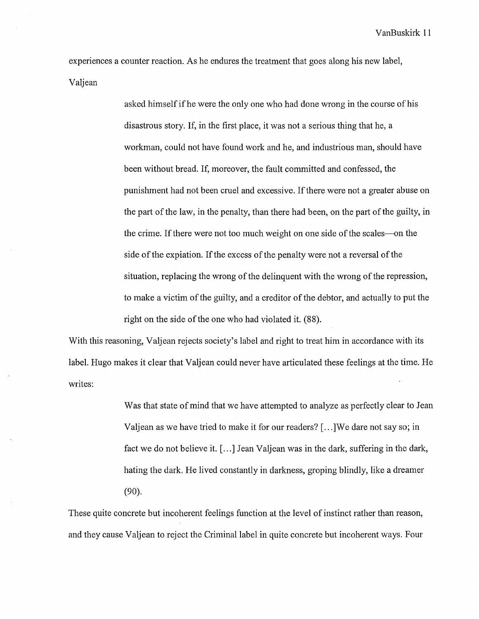experiences a counter reaction. As he endures the treatment that goes along his new label, Valjean

> asked himself if he were the only one who had done wrong in the course of his disastrous story. If, in the first place, it was not a serious thing that he, a workman, could not have found work and he, and industrious man, should have been without bread. If, moreover, the fault committed and confessed, the punishment had not been cruel and excessive. If there were not a greater abuse on the part of the law, in the penalty, than there had been, on the part of the guilty, in the crime. If there were not too much weight on one side of the scales--on the side of the expiation. If the excess of the penalty were not a reversal of the situation, replacing the wrong of the delinquent with the wrong of the repression, to make a victim of the guilty, and a creditor of the debtor, and actually to put the right on the side of the one who had violated it. (88).

With this reasoning, Valjean rejects society's label and right to treat him in accordance with its label. Hugo makes it clear that Valjean could never have articulated these feelings at the time. He writes:

> Was that state of mind that we have attempted to analyze as perfectly clear to Jean Valjean as we have tried to make it for our readers?[ ... ]We dare not say so; in fact we do not believe it.  $[\ldots]$  Jean Valjean was in the dark, suffering in the dark, hating the dark. He lived constantly in darkness, groping blindly, like a dreamer (90).

These quite concrete but incoherent feelings function at the level of instinct rather than reason, and they cause Valjean to reject the Criminal label in quite concrete but incoherent ways. Four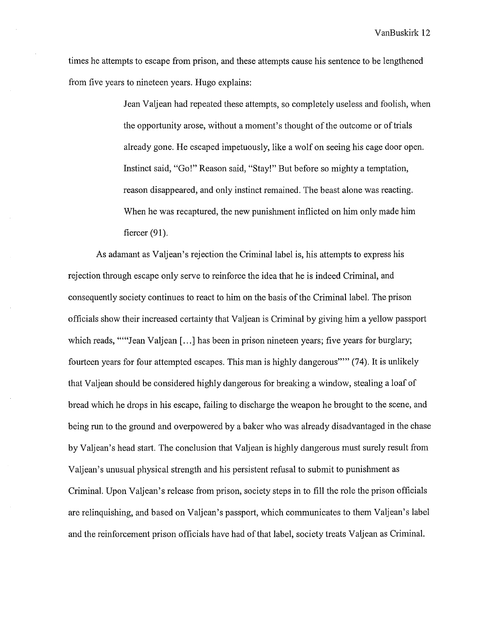times he attempts to escape from prison, and these attempts cause his sentence to be lengthened from five years to nineteen years. Hugo explains:

> Jean Valjean had repeated these attempts, so completely useless and foolish, when the opportunity arose, without a moment's thought of the outcome or of trials already gone. He escaped impetuously, like a wolf on seeing his cage door open. Instinct said, "Go!" Reason said, "Stay!" But before so mighty a temptation, reason disappeared, and only instinct remained. The beast alone was reacting. When he was recaptured, the new punishment inflicted on him only made him fiercer (91).

As adamant as Valjean's rejection the Criminal label is, his attempts to express his rejection through escape only serve to reinforce the idea that he is indeed Criminal, and consequently society continues to react to him on the basis of the Criminal label. The prison officials show their increased certainty that Valjean is Criminal by giving him a yellow passport which reads, ""'Jean Valjean [...] has been in prison nineteen years; five years for burglary; fourteen years for four attempted escapes. This man is highly dangerous""' (74). It is unlikely that Valjean should be considered highly dangerous for breaking a window, stealing a loaf of bread which he drops in his escape, failing to discharge the weapon he brought to the scene, and being run to the ground and overpowered by a baker who was already disadvantaged in the chase by Valjean's head start. The conclusion that Valjean is highly dangerous must surely result from Valjean's unusual physical strength and his persistent refusal to submit to punishment as Criminal. Upon Valjean's release from prison, society steps in to fill the role the prison officials are relinquishing, and based on Valjean's passport, which communicates to them Valjean's label and the reinforcement prison officials have had of that label, society treats Valjean as Criminal.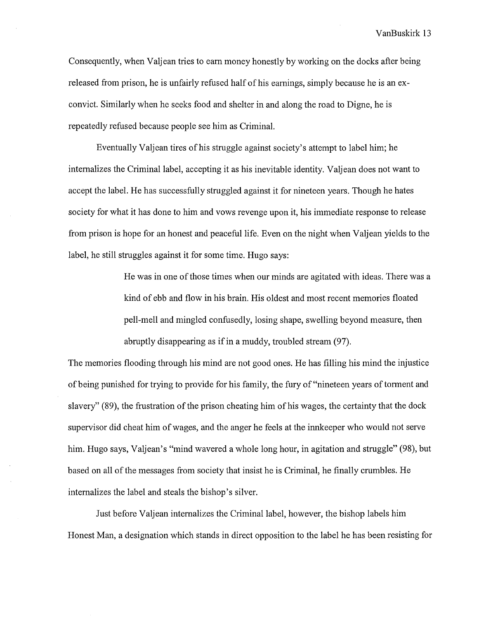Consequently, when Valjean tries to earn money honestly by working on the docks after being released from prison, he is unfairly refused half of his earnings, simply because he is an exconvict. Similarly when he seeks food and shelter in and along the road to Digne, he is repeatedly refused because people see him as Criminal.

Eventually Valjean tires of his struggle against society's attempt to label him; he internalizes the Criminal label, accepting it as his inevitable identity. Valjean does not want to accept the label. He has successfully struggled against it for nineteen years. Though he hates society for what it has done to him and vows revenge upon it, his immediate response to release from prison is hope for an honest and peaceful life. Even on the night when Valjean yields to the label, he still struggles against it for some time. Hugo says:

> He was in one of those times when our minds are agitated with ideas. There was a kind of ebb and flow in his brain. His oldest and most recent memories floated pell-mell and mingled confusedly, losing shape, swelling beyond measure, then abruptly disappearing as if in a muddy, troubled stream (97).

The memories flooding through his mind are not good ones. He has filling his mind the injustice ofbeing punished for trying to provide for his family, the fury of"nineteen years of torment and slavery" (89), the frustration of the prison cheating him of his wages, the certainty that the dock supervisor did cheat him of wages, and the anger he feels at the innkeeper who would not serve him. Hugo says, Valjean's "mind wavered a whole long hour, in agitation and struggle" (98), but based on all of the messages from society that insist he is Criminal, he finally crumbles. He internalizes the label and steals the bishop's silver.

Just before Valjean internalizes the Criminal label, however, the bishop labels him Honest Man, a designation which stands in direct opposition to the label he has been resisting for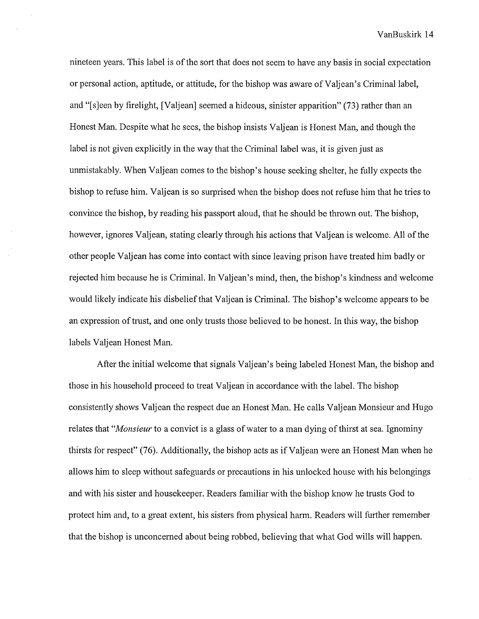nineteen years. This label is of the sort that does not seem to have any basis in social expectation or personal action, aptitude, or attitude, for the bishop was aware of Valjean's Criminal label, and "[s]een by firelight, [Valjean] seemed a hideous, sinister apparition" (73) rather than an Honest Man. Despite what he sees, the bishop insists Valjean is Honest Man, and though the label is not given explicitly in the way that the Criminal label was, it is given just as unmistakably. When Valjean comes to the bishop's house seeking shelter, he fully expects the bishop to refuse him. Valjean is so surprised when the bishop does not refuse him that he tries to convince the bishop, by reading his passport aloud, that he should be thrown out. The bishop, however, ignores Valjean, stating clearly through his actions that Valjean is welcome. All of the other people Valjean has come into contact with since leaving prison have treated him badly or rejected him because he is Criminal. In Valjean's mind, then, the bishop's kindness and welcome would likely indicate his disbelief that Valjean is Criminal. The bishop's welcome appears to be an expression of trust, and one only trusts those believed to be honest. In this way, the bishop labels Valjean Honest Man.

After the initial welcome that signals Valjean's being labeled Honest Man, the bishop and those in his household proceed to treat Valjean in accordance with the label. The bishop consistently shows Valjean the respect due an Honest Man. He calls Valjean Monsieur and Hugo relates that *"Monsieur* to a convict is a glass of water to a man dying of thirst at sea. Ignominy thirsts for respect" (76). Additionally, the bishop acts as ifValjean were an Honest Man when he allows him to sleep without safeguards or precautions in his unlocked house with his belongings and with his sister and housekeeper. Readers familiar with the bishop know he trusts God to protect him and, to a great extent, his sisters from physical harm. Readers will further remember that the bishop is unconcerned about being robbed, believing that what God wills will happen.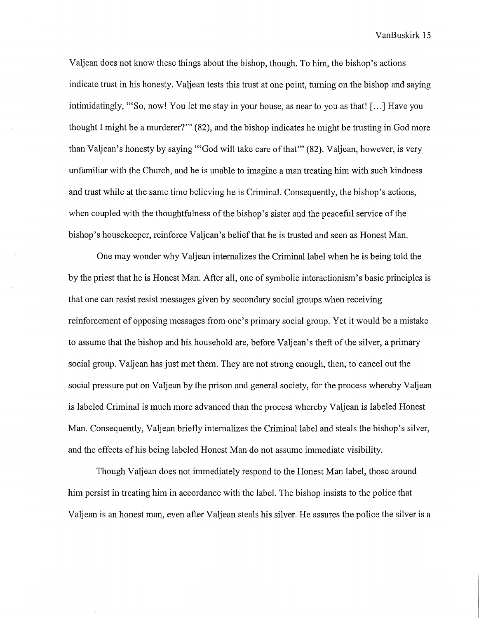Valjean does not know these things about the bishop, though. To him, the bishop's actions indicate trust in his honesty. Valjean tests this trust at one point, turning on the bishop and saying intimidatingly, "'So, now! You let me stay in your house, as near to you as that! [ ... ] Have you thought I might be a murderer?"' (82), and the bishop indicates he might be trusting in God more than Valjean's honesty by saying "'God will take care of that"' (82). Valjean, however, is very unfamiliar with the Church, and he is unable to imagine a man treating him with such kindness and trust while at the same time believing he is Criminal. Consequently, the bishop's actions, when coupled with the thoughtfulness of the bishop's sister and the peaceful service of the bishop's housekeeper, reinforce Valjean's belief that he is trusted and seen as Honest Man.

One may wonder why Valjean internalizes the Criminal label when he is being told the by the priest that he is Honest Man. After all, one of symbolic interactionism's basic principles is that one can resist resist messages given by secondary social groups when receiving reinforcement of opposing messages from one's primary social group. Yet it would be a mistake to assume that the bishop and his household are, before Valjean's theft of the silver, a primary social group. Valjean has just met them. They are not strong enough, then, to cancel out the social pressure put on Valjean by the prison and general society, for the process whereby Valjean is labeled Criminal is much more advanced than the process whereby Valjean is labeled Honest Man. Consequently, Valjean briefly internalizes the Criminal label and steals the bishop's silver, and the effects of his being labeled Honest Man do not assume immediate visibility.

Though Valjean does not immediately respond to the Honest Man label, those around him persist in treating him in accordance with the label. The bishop insists to the police that Valjean is an honest man, even after Valjean steals his silver. He assures the police the silver is a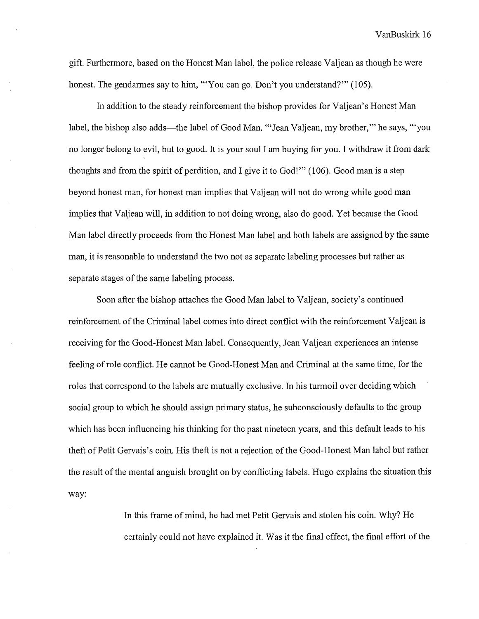gift. Furthermore, based on the Honest Man label, the police release Valjean as though he were honest. The gendarmes say to him, "'You can go. Don't you understand?"' (105).

In addition to the steady reinforcement the bishop provides for Valjean's Honest Man label, the bishop also adds—the label of Good Man. "'Jean Valjean, my brother," he says, "'you no longer belong to evil, but to good. It is your soul I am buying for you. I withdraw it from dark thoughts and from the spirit of perdition, and I give it to God!'" (106). Good man is a step beyond honest man, for honest man implies that Valjean will not do wrong while good man implies that Valjean will, in addition to not doing wrong, also do good. Yet because the Good Man label directly proceeds from the Honest Man label and both labels are assigned by the same man, it is reasonable to understand the two not as separate labeling processes but rather as separate stages of the same labeling process.

Soon after the bishop attaches the Good Man label to Valjean, society's continued reinforcement of the Criminal label comes into direct conflict with the reinforcement Valjean is receiving for the Good-Honest Man label. Consequently, Jean Valjean experiences an intense feeling of role conflict. He cannot be Good-Honest Man and Criminal at the same time, for the roles that correspond to the labels are mutually exclusive. In his turmoil over deciding which social group to which he should assign primary status, he subconsciously defaults to the group which has been influencing his thinking for the past nineteen years, and this default leads to his theft ofPetit Gervais's coin. His theft is not a rejection of the Good-Honest Man label but rather the result of the mental anguish brought on by conflicting labels. Hugo explains the situation this way:

> In this frame of mind, he had met Petit Gervais and stolen his coin. Why? He certainly could not have explained it. Was it the final effect, the final effort of the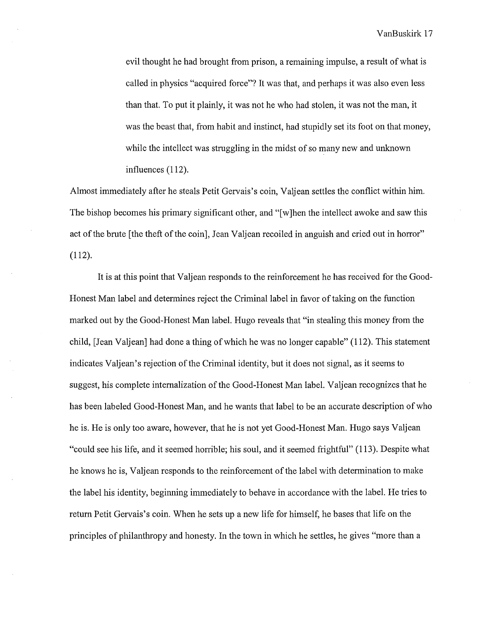evil thought he had brought from prison, a remaining impulse, a result of what is called in physics "acquired force"? It was that, and perhaps it was also even less than that. To put it plainly, it was not he who had stolen, it was not the man, it was the beast that, from habit and instinct, had stupidly set its foot on that money, while the intellect was struggling in the midst of so many new and unknown influences (112).

Almost immediately after he steals Petit Gervais's coin, Valjean settles the conflict within him. The bishop becomes his primary significant other, and "[w]hen the intellect awoke and saw this act of the brute [the theft of the coin], Jean Valjean recoiled in anguish and cried out in horror" (112).

It is at this point that Valjean responds to the reinforcement he has received for the Good-Honest Man label and determines reject the Criminal label in favor of taking on the function marked out by the Good-Honest Man label. Hugo reveals that "in stealing this money from the child, [Jean Valjean] had done a thing of which he was no longer capable" (112). This statement indicates Valjean's rejection of the Criminal identity, but it does not signal, as it seems to suggest, his complete internalization of the Good-Honest Man label. Valjean recognizes that he has been labeled Good-Honest Man, and he wants that label to be an accurate description of who he is. He is only too aware, however, that he is not yet Good-Honest Man. Hugo says Valjean "could see his life, and it seemed horrible; his soul, and it seemed frightful" (113). Despite what he knows he is, Valjean responds to the reinforcement of the label with determination to make the label his identity, beginning immediately to behave in accordance with the label. He tries to return Petit Gervais's coin. When he sets up a new life for himself, he bases that life on the principles of philanthropy and honesty. In the town in which he settles, he gives "more than a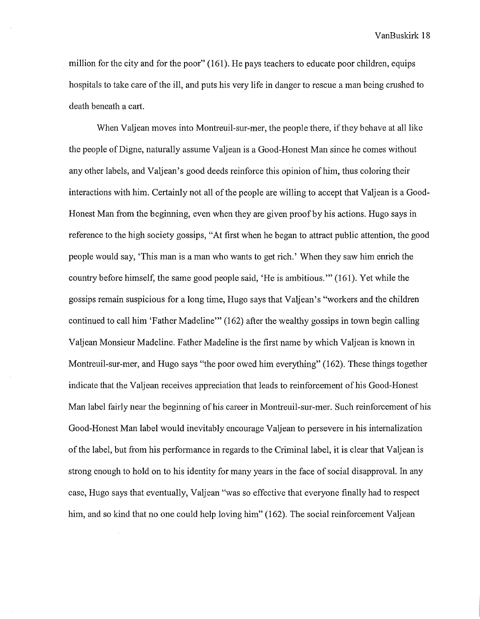million for the city and for the poor" (161). He pays teachers to educate poor children, equips hospitals to take care of the ill, and puts his very life in danger to rescue a man being crushed to death beneath a cart.

When Valjean moves into Montreuil-sur-mer, the people there, if they behave at all like the people ofDigne, naturally assume Valjean is a Good-Honest Man since he comes without any other labels, and Valjean's good deeds reinforce this opinion ofhim, thus coloring their interactions with him. Certainly not all of the people are willing to accept that Valjean is a Good-Honest Man from the beginning, even when they are given proof by his actions. Hugo says in reference to the high society gossips, "At first when he began to attract public attention, the good people would say, 'This man is a man who wants to get rich.' When they saw him enrich the country before himself, the same good people said, 'He is ambitious."' (161 ). Yet while the gossips remain suspicious for a long time, Hugo says that Valjean's "workers and the children continued to call him 'Father Madeline"' (162) after the wealthy gossips in town begin calling Valjean Monsieur Madeline. Father Madeline is the first name by which Valjean is known in Montreuil-sur-mer, and Hugo says "the poor owed him everything" (162). These things together indicate that the Valjean receives appreciation that leads to reinforcement of his Good-Honest Man label fairly near the beginning of his career in Montreuil-sur-mer. Such reinforcement of his Good-Honest Man label would inevitably encourage Valjean to persevere in his internalization of the label, but from his performance in regards to the Criminal label, it is clear that Valjean is strong enough to hold on to his identity for many years in the face of social disapproval. In any case, Hugo says that eventually, Valjean "was so effective that everyone finally had to respect him, and so kind that no one could help loving him" (162). The social reinforcement Valjean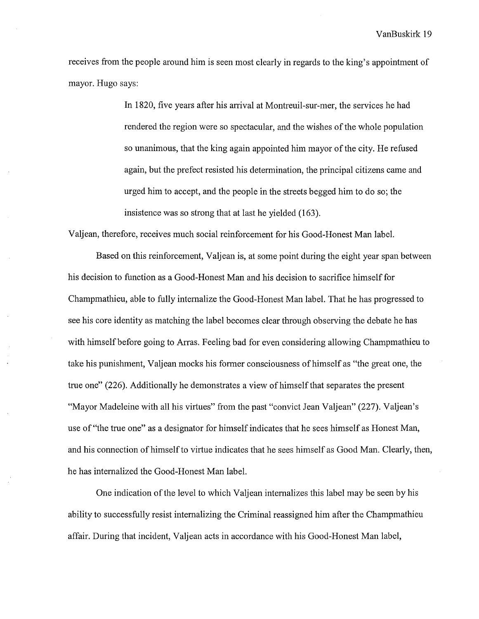receives from the people around him is seen most clearly in regards to the king's appointment of mayor. Hugo says:

> In 1820, five years after his arrival at Montreuil-sur-mer, the services he had rendered the region were so spectacular, and the wishes of the whole population so unanimous, that the king again appointed him mayor of the city. He refused again, but the prefect resisted his determination, the principal citizens came and urged him to accept, and the people in the streets begged him to do so; the insistence was so strong that at last he yielded (163).

Valjean, therefore, receives much social reinforcement for his Good-Honest Man label.

Based on this reinforcement, Valjean is, at some point during the eight year span between his decision to function as a Good-Honest Man and his decision to sacrifice himself for Champmathieu, able to fully internalize the Good-Honest Man label. That he has progressed to see his core identity as matching the label becomes clear through observing the debate he has with himself before going to Arras. Feeling bad for even considering allowing Champmathieu to take his punishment, Valjean mocks his former consciousness of himself as "the great one, the true one" (226). Additionally he demonstrates a view of himself that separates the present "Mayor Madeleine with all his virtues" from the past "convict Jean Valjean" (227). Valjean's use of "the true one" as a designator for himself indicates that he sees himself as Honest Man, and his connection of himself to virtue indicates that he sees himself as Good Man. Clearly, then, he has internalized the Good-Honest Man label.

One indication of the level to which Valjean internalizes this label may be seen by his ability to successfully resist internalizing the Criminal reassigned him after the Champmathieu affair. During that incident, Valjean acts in accordance with his Good-Honest Man label,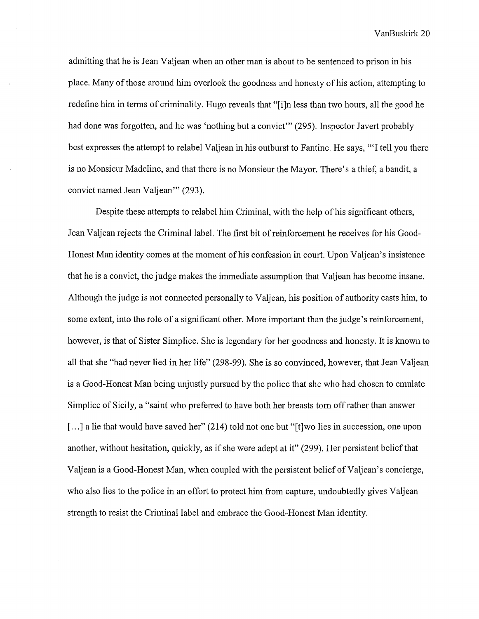admitting that he is Jean Valjean when an other man is about to be sentenced to prison in his place. Many of those around him overlook the goodness and honesty of his action, attempting to redefine him in terms of criminality. Hugo reveals that "[i]n less than two hours, all the good he had done was forgotten, and he was 'nothing but a convict'" (295). Inspector Javert probably best expresses the attempt to relabel Valjean in his outburst to Fantine. He says, '"I tell you there is no Monsieur Madeline, and that there is no Monsieur the Mayor. There's a thief, a bandit, a convict named Jean Valjean"' (293).

Despite these attempts to relabel him Criminal, with the help of his significant others, Jean Valjean rejects the Criminal label. The first bit of reinforcement he receives for his Good-Honest Man identity comes at the moment of his confession in court. Upon Valjean's insistence that he is a convict, the judge makes the immediate assumption that Valjean has become insane. Although the judge is not connected personally to Valjean, his position of authority casts him, to some extent, into the role of a significant other. More important than the judge's reinforcement, however, is that of Sister Simplice. She is legendary for her goodness and honesty. It is known to all that she "had never lied in her life" (298-99). She is so convinced, however, that Jean Valjean is a Good-Honest Man being unjustly pursued by the police that she who had chosen to emulate Simp lice of Sicily, a "saint who preferred to have both her breasts tom off rather than answer [...] a lie that would have saved her" (214) told not one but "[t] wo lies in succession, one upon another, without hesitation, quickly, as if she were adept at it" (299). Her persistent belief that Valjean is a Good-Honest Man, when coupled with the persistent belief of Valjean's concierge, who also lies to the police in an effort to protect him from capture, undoubtedly gives Valjean strength to resist the Criminal label and embrace the Good-Honest Man identity.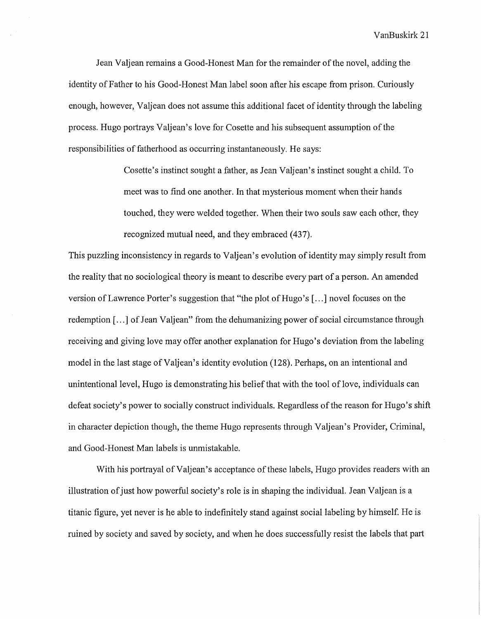Jean Valjean remains a Good-Honest Man for the remainder of the novel, adding the identity of Father to his Good-Honest Man label soon after his escape from prison. Curiously enough, however, Valjean does not assume this additional facet of identity through the labeling process. Hugo portrays Valjean's love for Cosette and his subsequent assumption of the responsibilities of fatherhood as occurring instantaneously. He says:

> Cosette's instinct sought a father, as Jean Valjean's instinct sought a child. To meet was to find one another. In that mysterious moment when their hands touched, they were welded together. When their two souls saw each other, they recognized mutual need, and they embraced (437).

This puzzling inconsistency in regards to Valjean's evolution of identity may simply result from the reality that no sociological theory is meant to describe every part of a person. An amended version of Lawrence Porter's suggestion that "the plot of Hugo's [...] novel focuses on the redemption [...] of Jean Valjean" from the dehumanizing power of social circumstance through receiving and giving love may offer another explanation for Hugo's deviation from the labeling model in the last stage of Valjean's identity evolution (128). Perhaps, on an intentional and unintentional level, Hugo is demonstrating his belief that with the tool of love, individuals can defeat society's power to socially construct individuals. Regardless of the reason for Hugo's shift in character depiction though, the theme Hugo represents through Valjean's Provider, Criminal, and Good-Honest Man labels is unmistakable.

With his portrayal of Valjean's acceptance of these labels, Hugo provides readers with an illustration of just how powerful society's role is in shaping the individual. Jean Valjean is a titanic figure, yet never is he able to indefinitely stand against social labeling by himself. He is ruined by society and saved by society, and when he does successfully resist the labels that part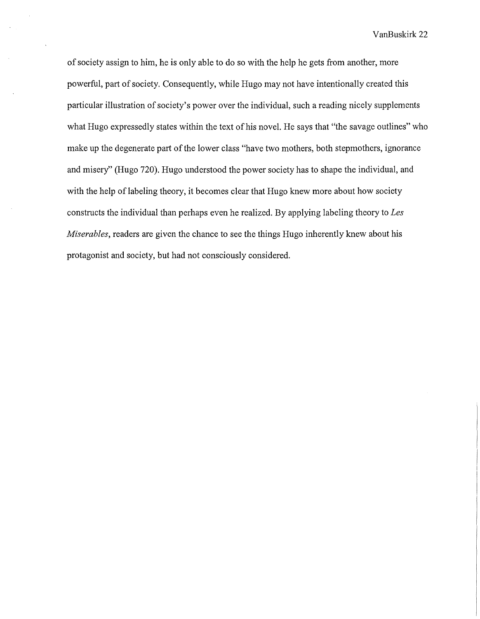of society assign to him, he is only able to do so with the help he gets from another, more powerful, part of society. Consequently, while Hugo may not have intentionally created this particular illustration of society's power over the individual, such a reading nicely supplements what Hugo expressedly states within the text of his novel. He says that "the savage outlines" who make up the degenerate part of the lower class "have two mothers, both stepmothers, ignorance and misery'' (Hugo 720). Hugo understood the power society has to shape the individual, and with the help of labeling theory, it becomes clear that Hugo knew more about how society constructs the individual than perhaps even he realized. By applying labeling theory to *Les Miserables,* readers are given the chance to see the things Hugo inherently knew about his protagonist and society, but had not consciously considered.